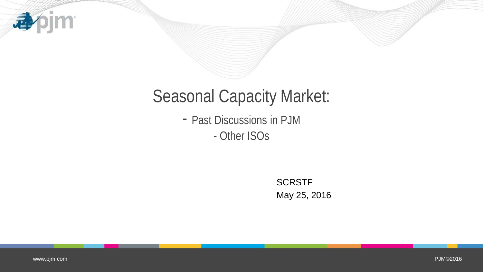

## Seasonal Capacity Market:

- Past Discussions in PJM - Other ISOs

> **SCRSTF** May 25, 2016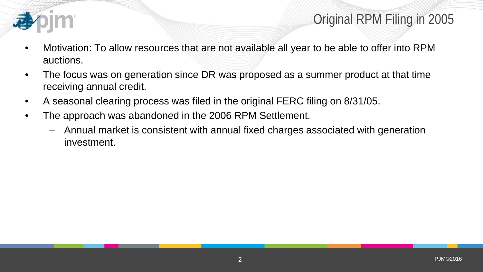

## Original RPM Filing in 2005

- Motivation: To allow resources that are not available all year to be able to offer into RPM auctions.
- The focus was on generation since DR was proposed as a summer product at that time receiving annual credit.
- A seasonal clearing process was filed in the original FERC filing on 8/31/05.
- The approach was abandoned in the 2006 RPM Settlement.
	- Annual market is consistent with annual fixed charges associated with generation investment.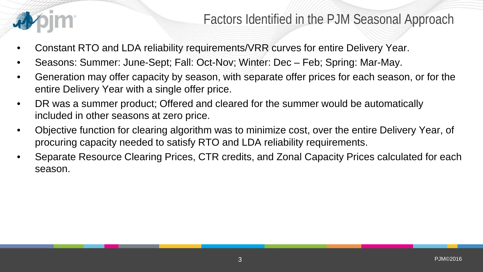

- Constant RTO and LDA reliability requirements/VRR curves for entire Delivery Year.
- Seasons: Summer: June-Sept; Fall: Oct-Nov; Winter: Dec Feb; Spring: Mar-May.
- Generation may offer capacity by season, with separate offer prices for each season, or for the entire Delivery Year with a single offer price.
- DR was a summer product; Offered and cleared for the summer would be automatically included in other seasons at zero price.
- Objective function for clearing algorithm was to minimize cost, over the entire Delivery Year, of procuring capacity needed to satisfy RTO and LDA reliability requirements.
- Separate Resource Clearing Prices, CTR credits, and Zonal Capacity Prices calculated for each season.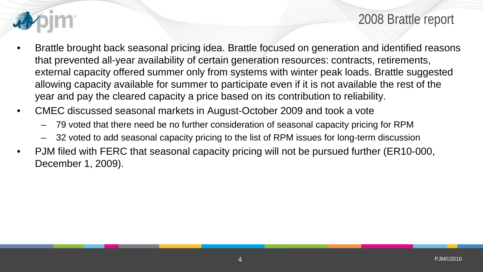

2008 Brattle report

- Brattle brought back seasonal pricing idea. Brattle focused on generation and identified reasons that prevented all-year availability of certain generation resources: contracts, retirements, external capacity offered summer only from systems with winter peak loads. Brattle suggested allowing capacity available for summer to participate even if it is not available the rest of the year and pay the cleared capacity a price based on its contribution to reliability.
- CMEC discussed seasonal markets in August-October 2009 and took a vote
	- 79 voted that there need be no further consideration of seasonal capacity pricing for RPM
	- 32 voted to add seasonal capacity pricing to the list of RPM issues for long-term discussion
- PJM filed with FERC that seasonal capacity pricing will not be pursued further (ER10-000, December 1, 2009).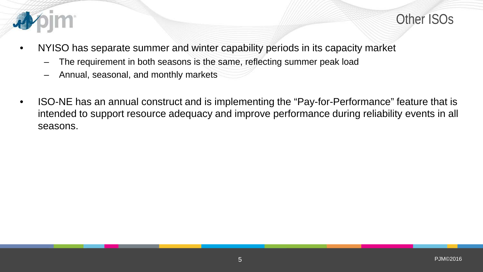

- NYISO has separate summer and winter capability periods in its capacity market
	- The requirement in both seasons is the same, reflecting summer peak load
	- Annual, seasonal, and monthly markets
- ISO-NE has an annual construct and is implementing the "Pay-for-Performance" feature that is intended to support resource adequacy and improve performance during reliability events in all seasons.